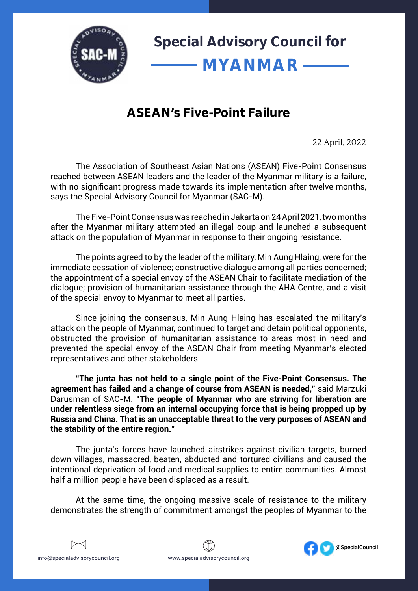

## **ASEAN's Five-Point Failure**

22 April, 2022

The Association of Southeast Asian Nations (ASEAN) Five-Point Consensus reached between ASEAN leaders and the leader of the Myanmar military is a failure, with no significant progress made towards its implementation after twelve months, says the Special Advisory Council for Myanmar (SAC-M).

The Five-Point Consensus was reached in Jakarta on 24 April 2021, two months after the Myanmar military attempted an illegal coup and launched a subsequent attack on the population of Myanmar in response to their ongoing resistance.

The points agreed to by the leader of the military, Min Aung Hlaing, were for the immediate cessation of violence; constructive dialogue among all parties concerned; the appointment of a special envoy of the ASEAN Chair to facilitate mediation of the dialogue; provision of humanitarian assistance through the AHA Centre, and a visit of the special envoy to Myanmar to meet all parties.

Since joining the consensus, Min Aung Hlaing has escalated the military's attack on the people of Myanmar, continued to target and detain political opponents, obstructed the provision of humanitarian assistance to areas most in need and prevented the special envoy of the ASEAN Chair from meeting Myanmar's elected representatives and other stakeholders.

**"The junta has not held to a single point of the Five-Point Consensus. The agreement has failed and a change of course from ASEAN is needed,"** said Marzuki Darusman of SAC-M. **"The people of Myanmar who are striving for liberation are under relentless siege from an internal occupying force that is being propped up by Russia and China. That is an unacceptable threat to the very purposes of ASEAN and the stability of the entire region."**

The junta's forces have launched airstrikes against civilian targets, burned down villages, massacred, beaten, abducted and tortured civilians and caused the intentional deprivation of food and medical supplies to entire communities. Almost half a million people have been displaced as a result.

At the same time, the ongoing massive scale of resistance to the military demonstrates the strength of commitment amongst the peoples of Myanmar to the